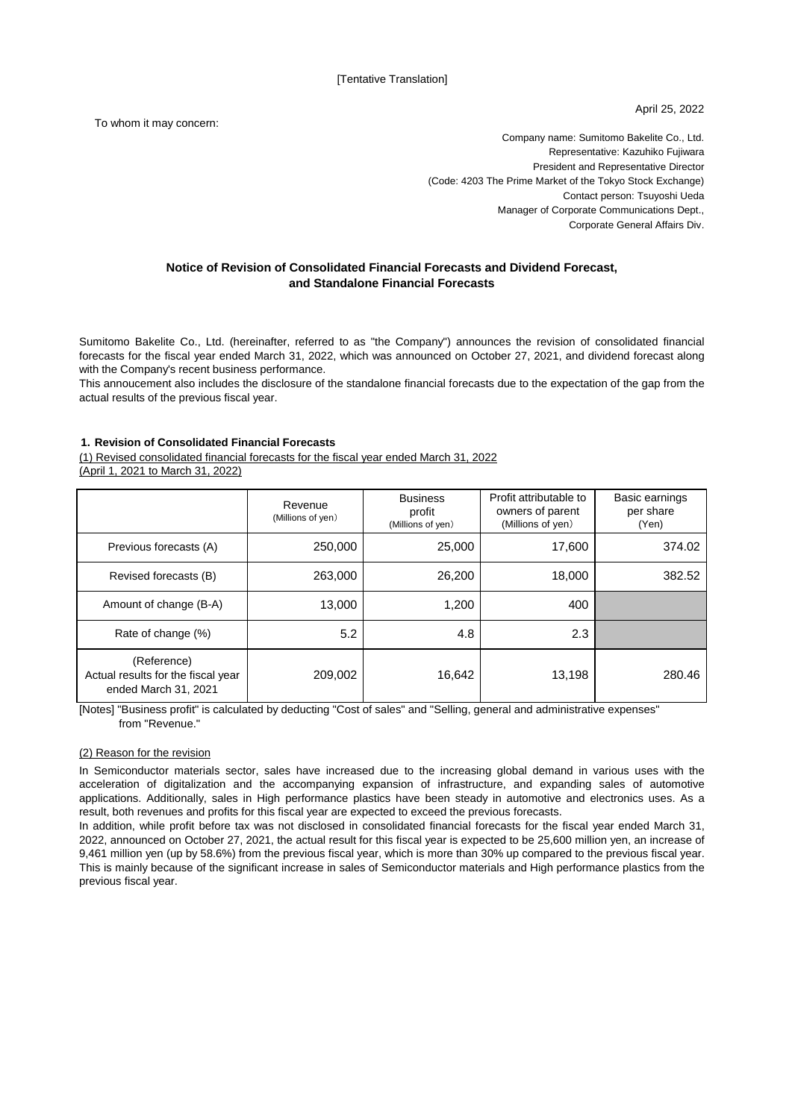April 25, 2022

To whom it may concern:

Company name: Sumitomo Bakelite Co., Ltd. Representative: Kazuhiko Fujiwara President and Representative Director (Code: 4203 The Prime Market of the Tokyo Stock Exchange) Contact person: Tsuyoshi Ueda Manager of Corporate Communications Dept., Corporate General Affairs Div.

## **Notice of Revision of Consolidated Financial Forecasts and Dividend Forecast, and Standalone Financial Forecasts**

Sumitomo Bakelite Co., Ltd. (hereinafter, referred to as "the Company") announces the revision of consolidated financial forecasts for the fiscal year ended March 31, 2022, which was announced on October 27, 2021, and dividend forecast along with the Company's recent business performance.

This annoucement also includes the disclosure of the standalone financial forecasts due to the expectation of the gap from the actual results of the previous fiscal year.

### **1. Revision of Consolidated Financial Forecasts**

(1) Revised consolidated financial forecasts for the fiscal year ended March 31, 2022

(April 1, 2021 to March 31, 2022)

|                                                                           | Revenue<br>(Millions of yen) | <b>Business</b><br>profit<br>(Millions of yen) | Profit attributable to<br>owners of parent<br>(Millions of yen) | Basic earnings<br>per share<br>(Yen) |
|---------------------------------------------------------------------------|------------------------------|------------------------------------------------|-----------------------------------------------------------------|--------------------------------------|
| Previous forecasts (A)                                                    | 250,000                      | 25,000                                         | 17,600                                                          | 374.02                               |
| Revised forecasts (B)                                                     | 263,000                      | 26,200                                         | 18,000                                                          | 382.52                               |
| Amount of change (B-A)                                                    | 13.000                       | 1,200                                          | 400                                                             |                                      |
| Rate of change (%)                                                        | 5.2                          | 4.8                                            | 2.3                                                             |                                      |
| (Reference)<br>Actual results for the fiscal year<br>ended March 31, 2021 | 209,002                      | 16,642                                         | 13,198                                                          | 280.46                               |

[Notes] "Business profit" is calculated by deducting "Cost of sales" and "Selling, general and administrative expenses" from "Revenue."

#### (2) Reason for the revision

In Semiconductor materials sector, sales have increased due to the increasing global demand in various uses with the acceleration of digitalization and the accompanying expansion of infrastructure, and expanding sales of automotive applications. Additionally, sales in High performance plastics have been steady in automotive and electronics uses. As a result, both revenues and profits for this fiscal year are expected to exceed the previous forecasts.

In addition, while profit before tax was not disclosed in consolidated financial forecasts for the fiscal year ended March 31, 2022, announced on October 27, 2021, the actual result for this fiscal year is expected to be 25,600 million yen, an increase of 9,461 million yen (up by 58.6%) from the previous fiscal year, which is more than 30% up compared to the previous fiscal year. This is mainly because of the significant increase in sales of Semiconductor materials and High performance plastics from the previous fiscal year.